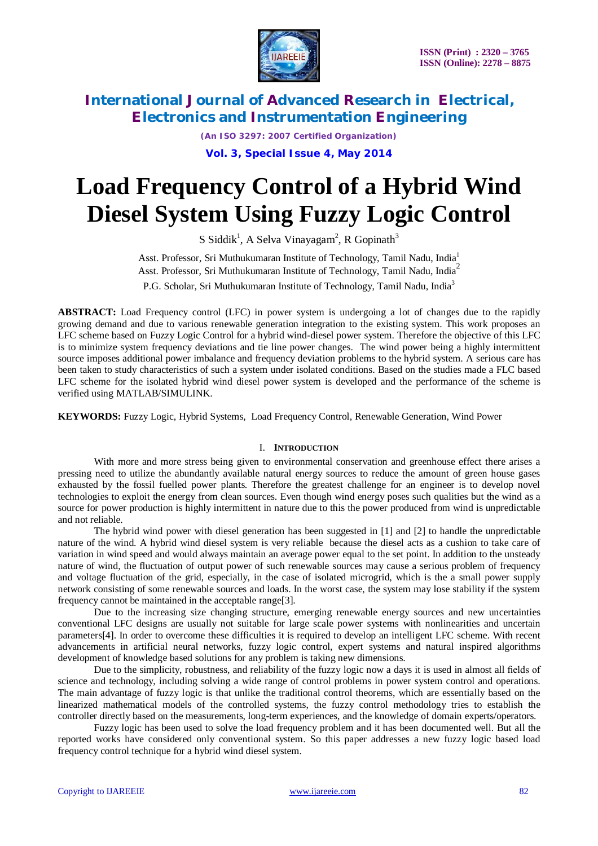

*(An ISO 3297: 2007 Certified Organization)*

**Vol. 3, Special Issue 4, May 2014**

# **Load Frequency Control of a Hybrid Wind Diesel System Using Fuzzy Logic Control**

S Siddik<sup>1</sup>, A Selva Vinayagam<sup>2</sup>, R Gopinath<sup>3</sup>

Asst. Professor, Sri Muthukumaran Institute of Technology, Tamil Nadu, India<sup>1</sup> Asst. Professor, Sri Muthukumaran Institute of Technology, Tamil Nadu, India<sup>2</sup> P.G. Scholar, Sri Muthukumaran Institute of Technology, Tamil Nadu, India<sup>3</sup>

**ABSTRACT:** Load Frequency control (LFC) in power system is undergoing a lot of changes due to the rapidly growing demand and due to various renewable generation integration to the existing system. This work proposes an LFC scheme based on Fuzzy Logic Control for a hybrid wind-diesel power system. Therefore the objective of this LFC is to minimize system frequency deviations and tie line power changes. The wind power being a highly intermittent source imposes additional power imbalance and frequency deviation problems to the hybrid system. A serious care has been taken to study characteristics of such a system under isolated conditions. Based on the studies made a FLC based LFC scheme for the isolated hybrid wind diesel power system is developed and the performance of the scheme is verified using MATLAB/SIMULINK.

**KEYWORDS:** Fuzzy Logic, Hybrid Systems, Load Frequency Control, Renewable Generation, Wind Power

#### I. **INTRODUCTION**

With more and more stress being given to environmental conservation and greenhouse effect there arises a pressing need to utilize the abundantly available natural energy sources to reduce the amount of green house gases exhausted by the fossil fuelled power plants. Therefore the greatest challenge for an engineer is to develop novel technologies to exploit the energy from clean sources. Even though wind energy poses such qualities but the wind as a source for power production is highly intermittent in nature due to this the power produced from wind is unpredictable and not reliable.

The hybrid wind power with diesel generation has been suggested in [1] and [2] to handle the unpredictable nature of the wind. A hybrid wind diesel system is very reliable because the diesel acts as a cushion to take care of variation in wind speed and would always maintain an average power equal to the set point. In addition to the unsteady nature of wind, the fluctuation of output power of such renewable sources may cause a serious problem of frequency and voltage fluctuation of the grid, especially, in the case of isolated microgrid, which is the a small power supply network consisting of some renewable sources and loads. In the worst case, the system may lose stability if the system frequency cannot be maintained in the acceptable range[3].

Due to the increasing size changing structure, emerging renewable energy sources and new uncertainties conventional LFC designs are usually not suitable for large scale power systems with nonlinearities and uncertain parameters[4]. In order to overcome these difficulties it is required to develop an intelligent LFC scheme. With recent advancements in artificial neural networks, fuzzy logic control, expert systems and natural inspired algorithms development of knowledge based solutions for any problem is taking new dimensions.

Due to the simplicity, robustness, and reliability of the fuzzy logic now a days it is used in almost all fields of science and technology, including solving a wide range of control problems in power system control and operations. The main advantage of fuzzy logic is that unlike the traditional control theorems, which are essentially based on the linearized mathematical models of the controlled systems, the fuzzy control methodology tries to establish the controller directly based on the measurements, long-term experiences, and the knowledge of domain experts/operators.

Fuzzy logic has been used to solve the load frequency problem and it has been documented well. But all the reported works have considered only conventional system. So this paper addresses a new fuzzy logic based load frequency control technique for a hybrid wind diesel system.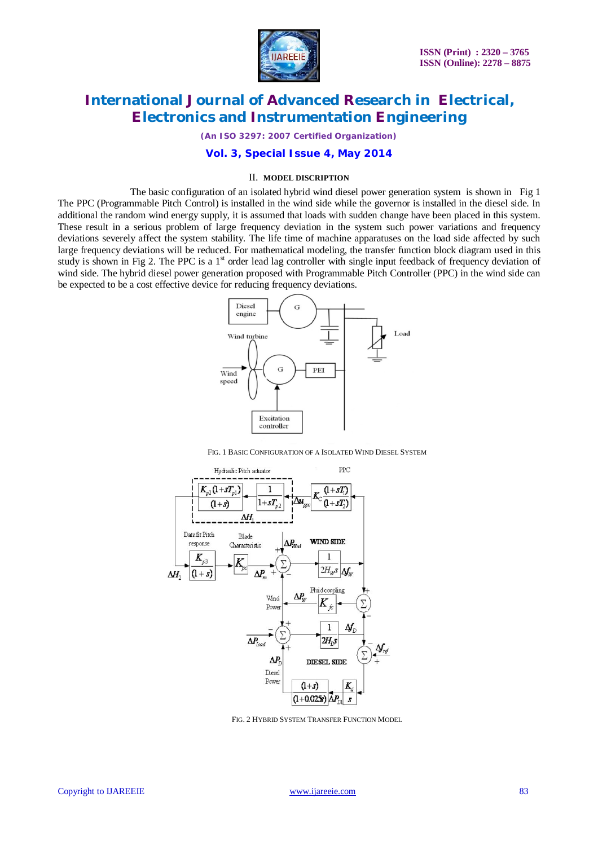

*(An ISO 3297: 2007 Certified Organization)*

### **Vol. 3, Special Issue 4, May 2014**

#### II. **MODEL DISCRIPTION**

The basic configuration of an isolated hybrid wind diesel power generation system is shown in Fig 1 The PPC (Programmable Pitch Control) is installed in the wind side while the governor is installed in the diesel side. In additional the random wind energy supply, it is assumed that loads with sudden change have been placed in this system. These result in a serious problem of large frequency deviation in the system such power variations and frequency deviations severely affect the system stability. The life time of machine apparatuses on the load side affected by such large frequency deviations will be reduced. For mathematical modeling, the transfer function block diagram used in this study is shown in Fig 2. The PPC is a 1<sup>st</sup> order lead lag controller with single input feedback of frequency deviation of wind side. The hybrid diesel power generation proposed with Programmable Pitch Controller (PPC) in the wind side can be expected to be a cost effective device for reducing frequency deviations.



FIG. 1 BASIC CONFIGURATION OF A ISOLATED WIND DIESEL SYSTEM



FIG. 2 HYBRID SYSTEM TRANSFER FUNCTION MODEL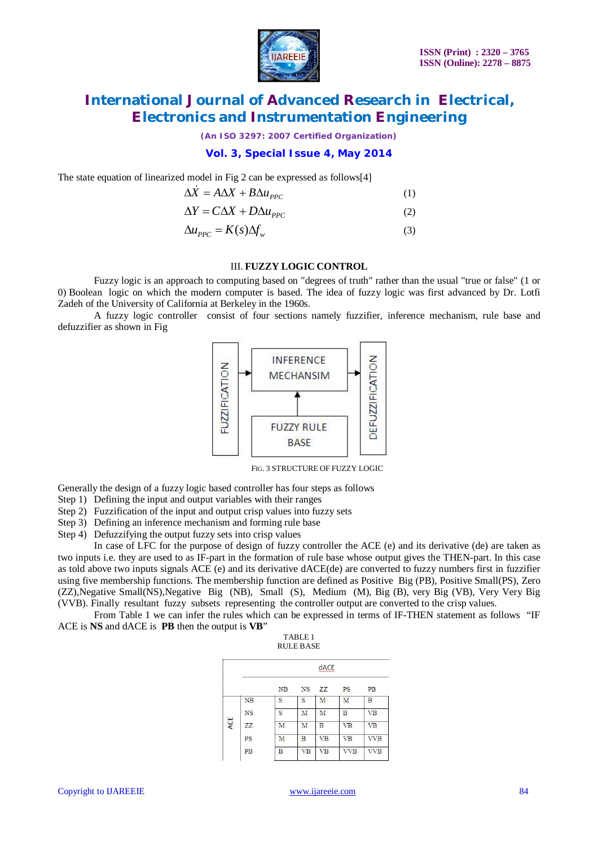

*(An ISO 3297: 2007 Certified Organization)*

### **Vol. 3, Special Issue 4, May 2014**

The state equation of linearized model in Fig 2 can be expressed as follows[4]

$$
\Delta \dot{X} = A\Delta X + B\Delta u_{PPC} \tag{1}
$$

$$
\Delta Y = C\Delta X + D\Delta u_{PPC} \tag{2}
$$

$$
\Delta u_{PPC} = K(s) \Delta f_w \tag{3}
$$

#### III. **FUZZY LOGIC CONTROL**

Fuzzy logic is an approach to computing based on "degrees of truth" rather than the usual "true or false" (1 or 0) Boolean logic on which the modern computer is based. The idea of fuzzy logic was first advanced by Dr. Lotfi Zadeh of the University of California at Berkeley in the 1960s.

A fuzzy logic controller consist of four sections namely fuzzifier, inference mechanism, rule base and defuzzifier as shown in Fig



FIG. 3 STRUCTURE OF FUZZY LOGIC

Generally the design of a fuzzy logic based controller has four steps as follows

- Step 1) Defining the input and output variables with their ranges
- Step 2) Fuzzification of the input and output crisp values into fuzzy sets
- Step 3) Defining an inference mechanism and forming rule base
- Step 4) Defuzzifying the output fuzzy sets into crisp values

In case of LFC for the purpose of design of fuzzy controller the ACE (e) and its derivative (de) are taken as two inputs i.e. they are used to as IF-part in the formation of rule base whose output gives the THEN-part. In this case as told above two inputs signals ACE (e) and its derivative dACE(de) are converted to fuzzy numbers first in fuzzifier using five membership functions. The membership function are defined as Positive Big (PB), Positive Small(PS), Zero (ZZ),Negative Small(NS),Negative Big (NB), Small (S), Medium (M), Big (B), very Big (VB), Very Very Big (VVB). Finally resultant fuzzy subsets representing the controller output are converted to the crisp values.

From Table 1 we can infer the rules which can be expressed in terms of IF-THEN statement as follows "IF ACE is **NS** and dACE is **PB** then the output is **VB**"

| TABLE 1   |
|-----------|
| RULE BASE |

|     |           | dACE<br>wwwww |           |           |            |            |  |
|-----|-----------|---------------|-----------|-----------|------------|------------|--|
|     |           | NB            | NS        | ZZ        | PS         | PB         |  |
| ACE | NB        | S             | S         | M         | M          | B          |  |
|     | <b>NS</b> | S             | M         | M         | B          | <b>VB</b>  |  |
|     | ZZ        | M             | М         | B         | <b>VB</b>  | <b>VB</b>  |  |
|     | PS        | M             | B         | <b>VB</b> | <b>VB</b>  | <b>VVB</b> |  |
|     | PB        | Β             | <b>VB</b> | <b>VB</b> | <b>VVB</b> | <b>VVB</b> |  |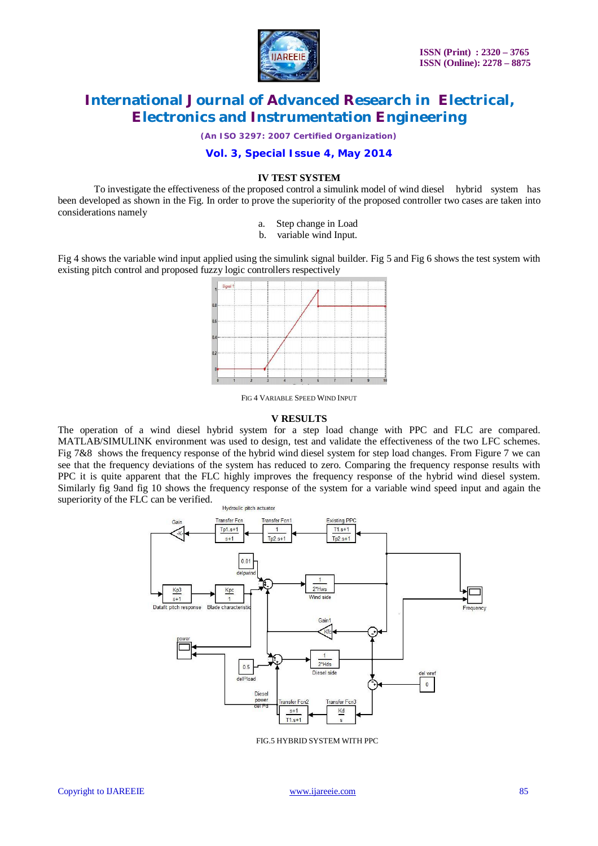

*(An ISO 3297: 2007 Certified Organization)*

#### **Vol. 3, Special Issue 4, May 2014**

#### **IV TEST SYSTEM**

To investigate the effectiveness of the proposed control a simulink model of wind diesel hybrid system has been developed as shown in the Fig. In order to prove the superiority of the proposed controller two cases are taken into considerations namely

- a. Step change in Load
- b. variable wind Input.

Fig 4 shows the variable wind input applied using the simulink signal builder. Fig 5 and Fig 6 shows the test system with existing pitch control and proposed fuzzy logic controllers respectively



FIG 4 VARIABLE SPEED WIND INPUT

#### **V RESULTS**

The operation of a wind diesel hybrid system for a step load change with PPC and FLC are compared. MATLAB/SIMULINK environment was used to design, test and validate the effectiveness of the two LFC schemes. Fig 7&8 shows the frequency response of the hybrid wind diesel system for step load changes. From Figure 7 we can see that the frequency deviations of the system has reduced to zero. Comparing the frequency response results with PPC it is quite apparent that the FLC highly improves the frequency response of the hybrid wind diesel system. Similarly fig 9and fig 10 shows the frequency response of the system for a variable wind speed input and again the superiority of the FLC can be verified.



FIG.5 HYBRID SYSTEM WITH PPC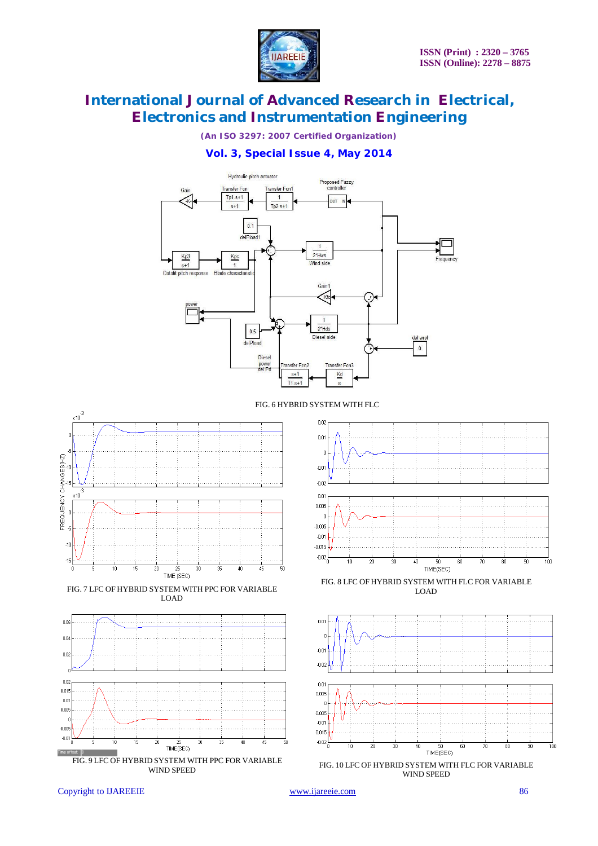

*(An ISO 3297: 2007 Certified Organization)*

### **Vol. 3, Special Issue 4, May 2014**



FIG. 6 HYBRID SYSTEM WITH FLC



FIG. 7 LFC OF HYBRID SYSTEM WITH PPC FOR VARIABLE LOAD





FIG. 8 LFC OF HYBRID SYSTEM WITH FLC FOR VARIABLE LOAD